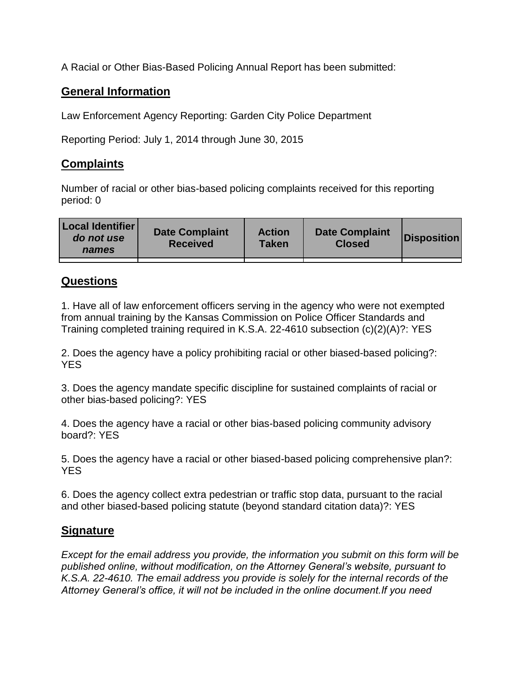A Racial or Other Bias-Based Policing Annual Report has been submitted:

## **General Information**

Law Enforcement Agency Reporting: Garden City Police Department

Reporting Period: July 1, 2014 through June 30, 2015

## **Complaints**

Number of racial or other bias-based policing complaints received for this reporting period: 0

| <b>Local Identifier</b><br>do not use<br>names | <b>Date Complaint</b><br><b>Received</b> | <b>Action</b><br><b>Taken</b> | <b>Date Complaint</b><br><b>Closed</b> | Disposition |
|------------------------------------------------|------------------------------------------|-------------------------------|----------------------------------------|-------------|
|                                                |                                          |                               |                                        |             |

## **Questions**

1. Have all of law enforcement officers serving in the agency who were not exempted from annual training by the Kansas Commission on Police Officer Standards and Training completed training required in K.S.A. 22-4610 subsection (c)(2)(A)?: YES

2. Does the agency have a policy prohibiting racial or other biased-based policing?: YES

3. Does the agency mandate specific discipline for sustained complaints of racial or other bias-based policing?: YES

4. Does the agency have a racial or other bias-based policing community advisory board?: YES

5. Does the agency have a racial or other biased-based policing comprehensive plan?: YES

6. Does the agency collect extra pedestrian or traffic stop data, pursuant to the racial and other biased-based policing statute (beyond standard citation data)?: YES

## **Signature**

*Except for the email address you provide, the information you submit on this form will be published online, without modification, on the Attorney General's website, pursuant to K.S.A. 22-4610. The email address you provide is solely for the internal records of the Attorney General's office, it will not be included in the online document.If you need*